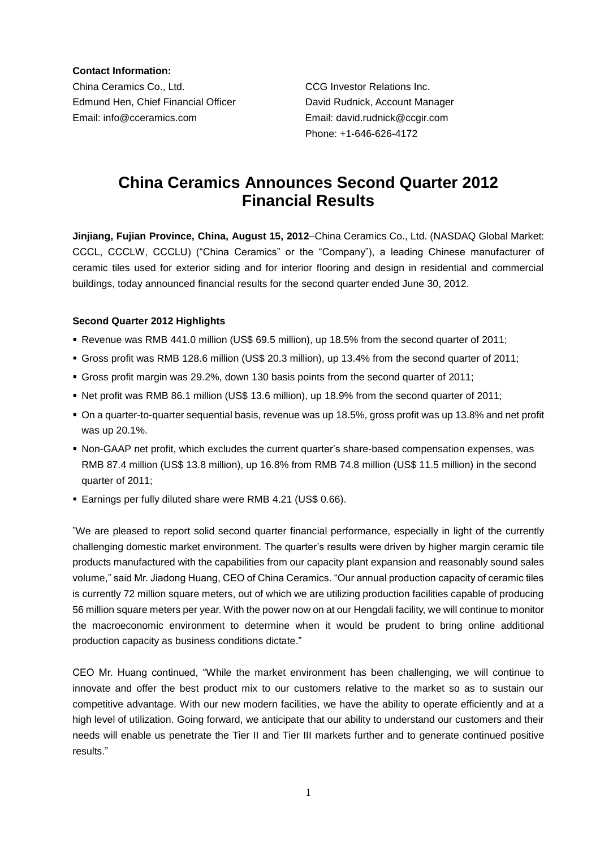**Contact Information:**

China Ceramics Co., Ltd. CCG Investor Relations Inc. Edmund Hen, Chief Financial Officer David Rudnick, Account Manager Email: info@cceramics.com Email: david.rudnick@ccgir.com

Phone: +1-646-626-4172

# **China Ceramics Announces Second Quarter 2012 Financial Results**

**Jinjiang, Fujian Province, China, August 15, 2012**–China Ceramics Co., Ltd. (NASDAQ Global Market: CCCL, CCCLW, CCCLU) ("China Ceramics" or the "Company"), a leading Chinese manufacturer of ceramic tiles used for exterior siding and for interior flooring and design in residential and commercial buildings, today announced financial results for the second quarter ended June 30, 2012.

## **Second Quarter 2012 Highlights**

- Revenue was RMB 441.0 million (US\$ 69.5 million), up 18.5% from the second quarter of 2011;
- Gross profit was RMB 128.6 million (US\$ 20.3 million), up 13.4% from the second quarter of 2011;
- Gross profit margin was 29.2%, down 130 basis points from the second quarter of 2011;
- Net profit was RMB 86.1 million (US\$ 13.6 million), up 18.9% from the second quarter of 2011;
- On a quarter-to-quarter sequential basis, revenue was up 18.5%, gross profit was up 13.8% and net profit was up 20.1%.
- Non-GAAP net profit, which excludes the current quarter's share-based compensation expenses, was RMB 87.4 million (US\$ 13.8 million), up 16.8% from RMB 74.8 million (US\$ 11.5 million) in the second quarter of 2011;
- Earnings per fully diluted share were RMB 4.21 (US\$ 0.66).

"We are pleased to report solid second quarter financial performance, especially in light of the currently challenging domestic market environment. The quarter's results were driven by higher margin ceramic tile products manufactured with the capabilities from our capacity plant expansion and reasonably sound sales volume," said Mr. Jiadong Huang, CEO of China Ceramics. "Our annual production capacity of ceramic tiles is currently 72 million square meters, out of which we are utilizing production facilities capable of producing 56 million square meters per year. With the power now on at our Hengdali facility, we will continue to monitor the macroeconomic environment to determine when it would be prudent to bring online additional production capacity as business conditions dictate."

CEO Mr. Huang continued, "While the market environment has been challenging, we will continue to innovate and offer the best product mix to our customers relative to the market so as to sustain our competitive advantage. With our new modern facilities, we have the ability to operate efficiently and at a high level of utilization. Going forward, we anticipate that our ability to understand our customers and their needs will enable us penetrate the Tier II and Tier III markets further and to generate continued positive results."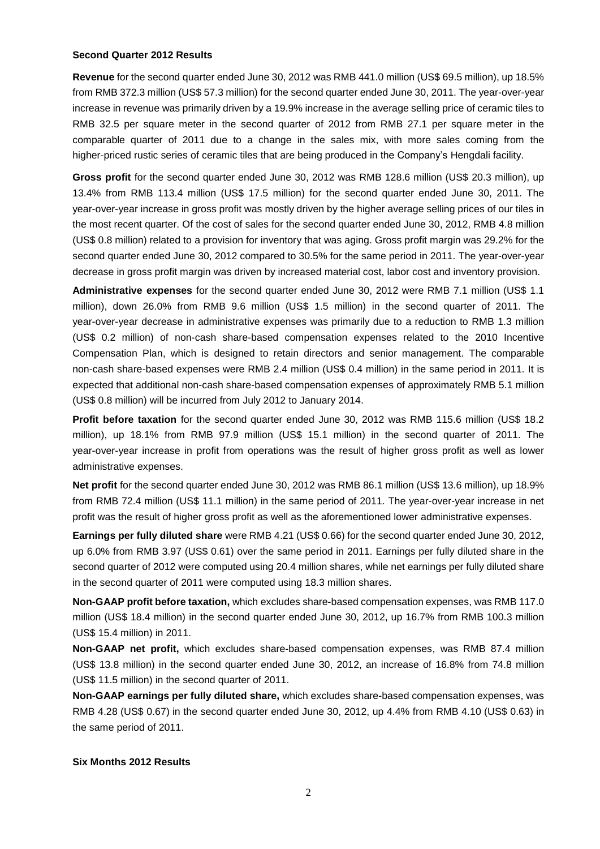#### **Second Quarter 2012 Results**

**Revenue** for the second quarter ended June 30, 2012 was RMB 441.0 million (US\$ 69.5 million), up 18.5% from RMB 372.3 million (US\$ 57.3 million) for the second quarter ended June 30, 2011. The year-over-year increase in revenue was primarily driven by a 19.9% increase in the average selling price of ceramic tiles to RMB 32.5 per square meter in the second quarter of 2012 from RMB 27.1 per square meter in the comparable quarter of 2011 due to a change in the sales mix, with more sales coming from the higher-priced rustic series of ceramic tiles that are being produced in the Company's Hengdali facility.

**Gross profit** for the second quarter ended June 30, 2012 was RMB 128.6 million (US\$ 20.3 million), up 13.4% from RMB 113.4 million (US\$ 17.5 million) for the second quarter ended June 30, 2011. The year-over-year increase in gross profit was mostly driven by the higher average selling prices of our tiles in the most recent quarter. Of the cost of sales for the second quarter ended June 30, 2012, RMB 4.8 million (US\$ 0.8 million) related to a provision for inventory that was aging. Gross profit margin was 29.2% for the second quarter ended June 30, 2012 compared to 30.5% for the same period in 2011. The year-over-year decrease in gross profit margin was driven by increased material cost, labor cost and inventory provision.

**Administrative expenses** for the second quarter ended June 30, 2012 were RMB 7.1 million (US\$ 1.1 million), down 26.0% from RMB 9.6 million (US\$ 1.5 million) in the second quarter of 2011. The year-over-year decrease in administrative expenses was primarily due to a reduction to RMB 1.3 million (US\$ 0.2 million) of non-cash share-based compensation expenses related to the 2010 Incentive Compensation Plan, which is designed to retain directors and senior management. The comparable non-cash share-based expenses were RMB 2.4 million (US\$ 0.4 million) in the same period in 2011. It is expected that additional non-cash share-based compensation expenses of approximately RMB 5.1 million (US\$ 0.8 million) will be incurred from July 2012 to January 2014.

**Profit before taxation** for the second quarter ended June 30, 2012 was RMB 115.6 million (US\$ 18.2 million), up 18.1% from RMB 97.9 million (US\$ 15.1 million) in the second quarter of 2011. The year-over-year increase in profit from operations was the result of higher gross profit as well as lower administrative expenses.

**Net profit** for the second quarter ended June 30, 2012 was RMB 86.1 million (US\$ 13.6 million), up 18.9% from RMB 72.4 million (US\$ 11.1 million) in the same period of 2011. The year-over-year increase in net profit was the result of higher gross profit as well as the aforementioned lower administrative expenses.

**Earnings per fully diluted share** were RMB 4.21 (US\$ 0.66) for the second quarter ended June 30, 2012, up 6.0% from RMB 3.97 (US\$ 0.61) over the same period in 2011. Earnings per fully diluted share in the second quarter of 2012 were computed using 20.4 million shares, while net earnings per fully diluted share in the second quarter of 2011 were computed using 18.3 million shares.

**Non-GAAP profit before taxation,** which excludes share-based compensation expenses, was RMB 117.0 million (US\$ 18.4 million) in the second quarter ended June 30, 2012, up 16.7% from RMB 100.3 million (US\$ 15.4 million) in 2011.

**Non-GAAP net profit,** which excludes share-based compensation expenses, was RMB 87.4 million (US\$ 13.8 million) in the second quarter ended June 30, 2012, an increase of 16.8% from 74.8 million (US\$ 11.5 million) in the second quarter of 2011.

**Non-GAAP earnings per fully diluted share,** which excludes share-based compensation expenses, was RMB 4.28 (US\$ 0.67) in the second quarter ended June 30, 2012, up 4.4% from RMB 4.10 (US\$ 0.63) in the same period of 2011.

#### **Six Months 2012 Results**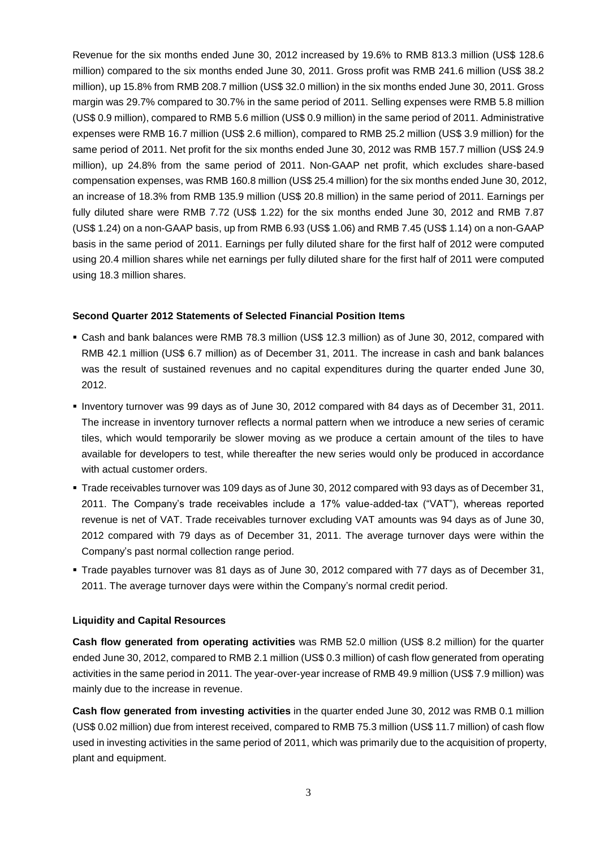Revenue for the six months ended June 30, 2012 increased by 19.6% to RMB 813.3 million (US\$ 128.6 million) compared to the six months ended June 30, 2011. Gross profit was RMB 241.6 million (US\$ 38.2 million), up 15.8% from RMB 208.7 million (US\$ 32.0 million) in the six months ended June 30, 2011. Gross margin was 29.7% compared to 30.7% in the same period of 2011. Selling expenses were RMB 5.8 million (US\$ 0.9 million), compared to RMB 5.6 million (US\$ 0.9 million) in the same period of 2011. Administrative expenses were RMB 16.7 million (US\$ 2.6 million), compared to RMB 25.2 million (US\$ 3.9 million) for the same period of 2011. Net profit for the six months ended June 30, 2012 was RMB 157.7 million (US\$ 24.9 million), up 24.8% from the same period of 2011. Non-GAAP net profit, which excludes share-based compensation expenses, was RMB 160.8 million (US\$ 25.4 million) for the six months ended June 30, 2012, an increase of 18.3% from RMB 135.9 million (US\$ 20.8 million) in the same period of 2011. Earnings per fully diluted share were RMB 7.72 (US\$ 1.22) for the six months ended June 30, 2012 and RMB 7.87 (US\$ 1.24) on a non-GAAP basis, up from RMB 6.93 (US\$ 1.06) and RMB 7.45 (US\$ 1.14) on a non-GAAP basis in the same period of 2011. Earnings per fully diluted share for the first half of 2012 were computed using 20.4 million shares while net earnings per fully diluted share for the first half of 2011 were computed using 18.3 million shares.

#### **Second Quarter 2012 Statements of Selected Financial Position Items**

- Cash and bank balances were RMB 78.3 million (US\$ 12.3 million) as of June 30, 2012, compared with RMB 42.1 million (US\$ 6.7 million) as of December 31, 2011. The increase in cash and bank balances was the result of sustained revenues and no capital expenditures during the quarter ended June 30, 2012.
- Inventory turnover was 99 days as of June 30, 2012 compared with 84 days as of December 31, 2011. The increase in inventory turnover reflects a normal pattern when we introduce a new series of ceramic tiles, which would temporarily be slower moving as we produce a certain amount of the tiles to have available for developers to test, while thereafter the new series would only be produced in accordance with actual customer orders.
- Trade receivables turnover was 109 days as of June 30, 2012 compared with 93 days as of December 31, 2011. The Company's trade receivables include a 17% value-added-tax ("VAT"), whereas reported revenue is net of VAT. Trade receivables turnover excluding VAT amounts was 94 days as of June 30, 2012 compared with 79 days as of December 31, 2011. The average turnover days were within the Company's past normal collection range period.
- Trade payables turnover was 81 days as of June 30, 2012 compared with 77 days as of December 31, 2011. The average turnover days were within the Company's normal credit period.

#### **Liquidity and Capital Resources**

**Cash flow generated from operating activities** was RMB 52.0 million (US\$ 8.2 million) for the quarter ended June 30, 2012, compared to RMB 2.1 million (US\$ 0.3 million) of cash flow generated from operating activities in the same period in 2011. The year-over-year increase of RMB 49.9 million (US\$ 7.9 million) was mainly due to the increase in revenue.

**Cash flow generated from investing activities** in the quarter ended June 30, 2012 was RMB 0.1 million (US\$ 0.02 million) due from interest received, compared to RMB 75.3 million (US\$ 11.7 million) of cash flow used in investing activities in the same period of 2011, which was primarily due to the acquisition of property, plant and equipment.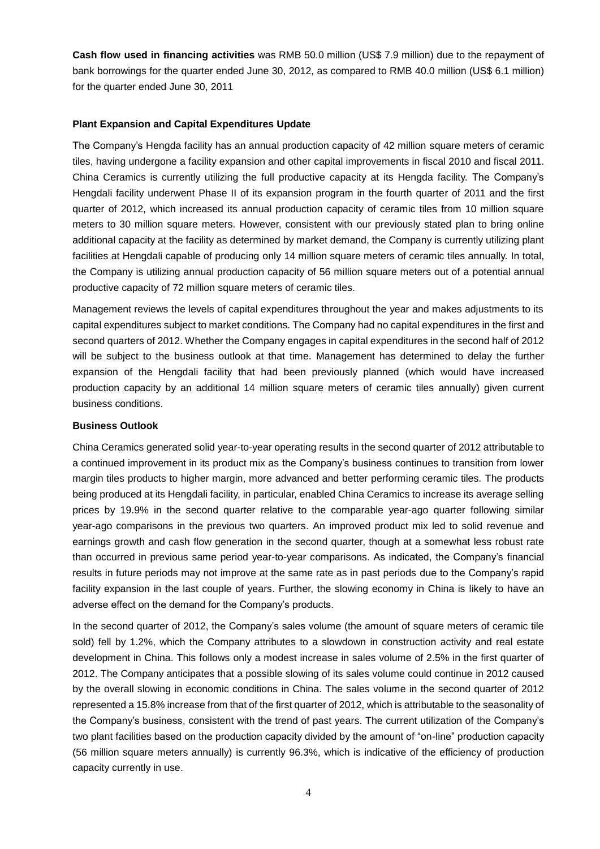**Cash flow used in financing activities** was RMB 50.0 million (US\$ 7.9 million) due to the repayment of bank borrowings for the quarter ended June 30, 2012, as compared to RMB 40.0 million (US\$ 6.1 million) for the quarter ended June 30, 2011

#### **Plant Expansion and Capital Expenditures Update**

The Company's Hengda facility has an annual production capacity of 42 million square meters of ceramic tiles, having undergone a facility expansion and other capital improvements in fiscal 2010 and fiscal 2011. China Ceramics is currently utilizing the full productive capacity at its Hengda facility. The Company's Hengdali facility underwent Phase II of its expansion program in the fourth quarter of 2011 and the first quarter of 2012, which increased its annual production capacity of ceramic tiles from 10 million square meters to 30 million square meters. However, consistent with our previously stated plan to bring online additional capacity at the facility as determined by market demand, the Company is currently utilizing plant facilities at Hengdali capable of producing only 14 million square meters of ceramic tiles annually. In total, the Company is utilizing annual production capacity of 56 million square meters out of a potential annual productive capacity of 72 million square meters of ceramic tiles.

Management reviews the levels of capital expenditures throughout the year and makes adjustments to its capital expenditures subject to market conditions. The Company had no capital expenditures in the first and second quarters of 2012. Whether the Company engages in capital expenditures in the second half of 2012 will be subject to the business outlook at that time. Management has determined to delay the further expansion of the Hengdali facility that had been previously planned (which would have increased production capacity by an additional 14 million square meters of ceramic tiles annually) given current business conditions.

#### **Business Outlook**

China Ceramics generated solid year-to-year operating results in the second quarter of 2012 attributable to a continued improvement in its product mix as the Company's business continues to transition from lower margin tiles products to higher margin, more advanced and better performing ceramic tiles. The products being produced at its Hengdali facility, in particular, enabled China Ceramics to increase its average selling prices by 19.9% in the second quarter relative to the comparable year-ago quarter following similar year-ago comparisons in the previous two quarters. An improved product mix led to solid revenue and earnings growth and cash flow generation in the second quarter, though at a somewhat less robust rate than occurred in previous same period year-to-year comparisons. As indicated, the Company's financial results in future periods may not improve at the same rate as in past periods due to the Company's rapid facility expansion in the last couple of years. Further, the slowing economy in China is likely to have an adverse effect on the demand for the Company's products.

In the second quarter of 2012, the Company's sales volume (the amount of square meters of ceramic tile sold) fell by 1.2%, which the Company attributes to a slowdown in construction activity and real estate development in China. This follows only a modest increase in sales volume of 2.5% in the first quarter of 2012. The Company anticipates that a possible slowing of its sales volume could continue in 2012 caused by the overall slowing in economic conditions in China. The sales volume in the second quarter of 2012 represented a 15.8% increase from that of the first quarter of 2012, which is attributable to the seasonality of the Company's business, consistent with the trend of past years. The current utilization of the Company's two plant facilities based on the production capacity divided by the amount of "on-line" production capacity (56 million square meters annually) is currently 96.3%, which is indicative of the efficiency of production capacity currently in use.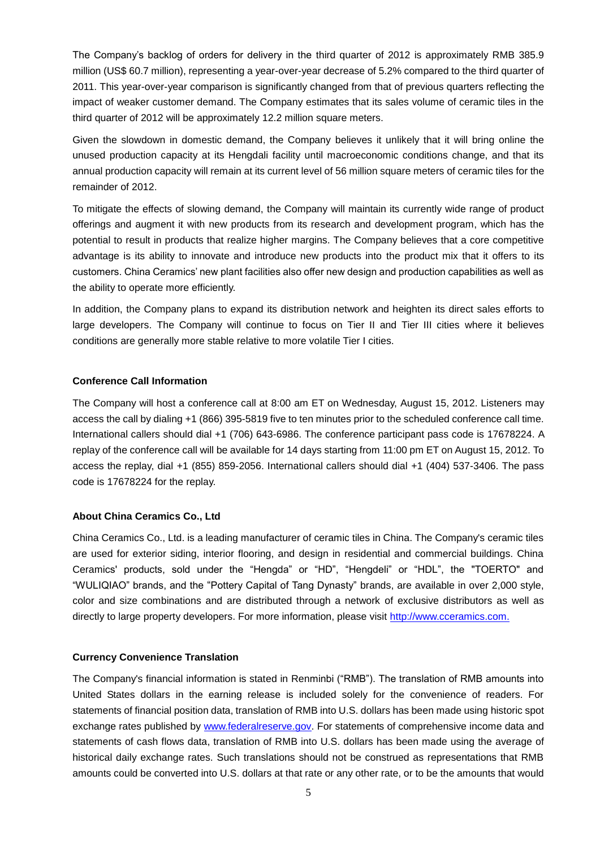The Company's backlog of orders for delivery in the third quarter of 2012 is approximately RMB 385.9 million (US\$ 60.7 million), representing a year-over-year decrease of 5.2% compared to the third quarter of 2011. This year-over-year comparison is significantly changed from that of previous quarters reflecting the impact of weaker customer demand. The Company estimates that its sales volume of ceramic tiles in the third quarter of 2012 will be approximately 12.2 million square meters.

Given the slowdown in domestic demand, the Company believes it unlikely that it will bring online the unused production capacity at its Hengdali facility until macroeconomic conditions change, and that its annual production capacity will remain at its current level of 56 million square meters of ceramic tiles for the remainder of 2012.

To mitigate the effects of slowing demand, the Company will maintain its currently wide range of product offerings and augment it with new products from its research and development program, which has the potential to result in products that realize higher margins. The Company believes that a core competitive advantage is its ability to innovate and introduce new products into the product mix that it offers to its customers. China Ceramics' new plant facilities also offer new design and production capabilities as well as the ability to operate more efficiently.

In addition, the Company plans to expand its distribution network and heighten its direct sales efforts to large developers. The Company will continue to focus on Tier II and Tier III cities where it believes conditions are generally more stable relative to more volatile Tier I cities.

## **Conference Call Information**

The Company will host a conference call at 8:00 am ET on Wednesday, August 15, 2012. Listeners may access the call by dialing +1 (866) 395-5819 five to ten minutes prior to the scheduled conference call time. International callers should dial +1 (706) 643-6986. The conference participant pass code is 17678224. A replay of the conference call will be available for 14 days starting from 11:00 pm ET on August 15, 2012. To access the replay, dial +1 (855) 859-2056. International callers should dial +1 (404) 537-3406. The pass code is 17678224 for the replay.

## **About China Ceramics Co., Ltd**

China Ceramics Co., Ltd. is a leading manufacturer of ceramic tiles in China. The Company's ceramic tiles are used for exterior siding, interior flooring, and design in residential and commercial buildings. China Ceramics' products, sold under the "Hengda" or "HD", "Hengdeli" or "HDL", the "TOERTO" and "WULIQIAO" brands, and the "Pottery Capital of Tang Dynasty" brands, are available in over 2,000 style, color and size combinations and are distributed through a network of exclusive distributors as well as directly to large property developers. For more information, please visit [http://www.cceramics.com.](http://www.cceramics.com/)

## **Currency Convenience Translation**

The Company's financial information is stated in Renminbi ("RMB"). The translation of RMB amounts into United States dollars in the earning release is included solely for the convenience of readers. For statements of financial position data, translation of RMB into U.S. dollars has been made using historic spot exchange rates published by [www.federalreserve.gov.](http://www.federalreserve.gov/) For statements of comprehensive income data and statements of cash flows data, translation of RMB into U.S. dollars has been made using the average of historical daily exchange rates. Such translations should not be construed as representations that RMB amounts could be converted into U.S. dollars at that rate or any other rate, or to be the amounts that would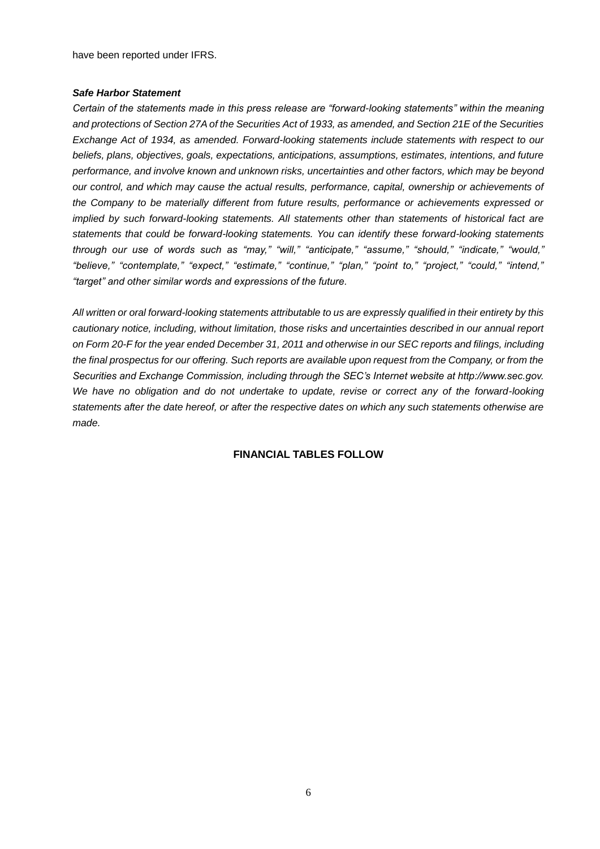have been reported under IFRS.

#### *Safe Harbor Statement*

*Certain of the statements made in this press release are "forward-looking statements" within the meaning and protections of Section 27A of the Securities Act of 1933, as amended, and Section 21E of the Securities Exchange Act of 1934, as amended. Forward-looking statements include statements with respect to our beliefs, plans, objectives, goals, expectations, anticipations, assumptions, estimates, intentions, and future performance, and involve known and unknown risks, uncertainties and other factors, which may be beyond our control, and which may cause the actual results, performance, capital, ownership or achievements of the Company to be materially different from future results, performance or achievements expressed or implied by such forward-looking statements. All statements other than statements of historical fact are statements that could be forward-looking statements. You can identify these forward-looking statements through our use of words such as "may," "will," "anticipate," "assume," "should," "indicate," "would," "believe," "contemplate," "expect," "estimate," "continue," "plan," "point to," "project," "could," "intend," "target" and other similar words and expressions of the future.* 

*All written or oral forward-looking statements attributable to us are expressly qualified in their entirety by this cautionary notice, including, without limitation, those risks and uncertainties described in our annual report on Form 20-F for the year ended December 31, 2011 and otherwise in our SEC reports and filings, including the final prospectus for our offering. Such reports are available upon request from the Company, or from the Securities and Exchange Commission, including through the SEC's Internet website at http://www.sec.gov. We have no obligation and do not undertake to update, revise or correct any of the forward-looking statements after the date hereof, or after the respective dates on which any such statements otherwise are made.*

## **FINANCIAL TABLES FOLLOW**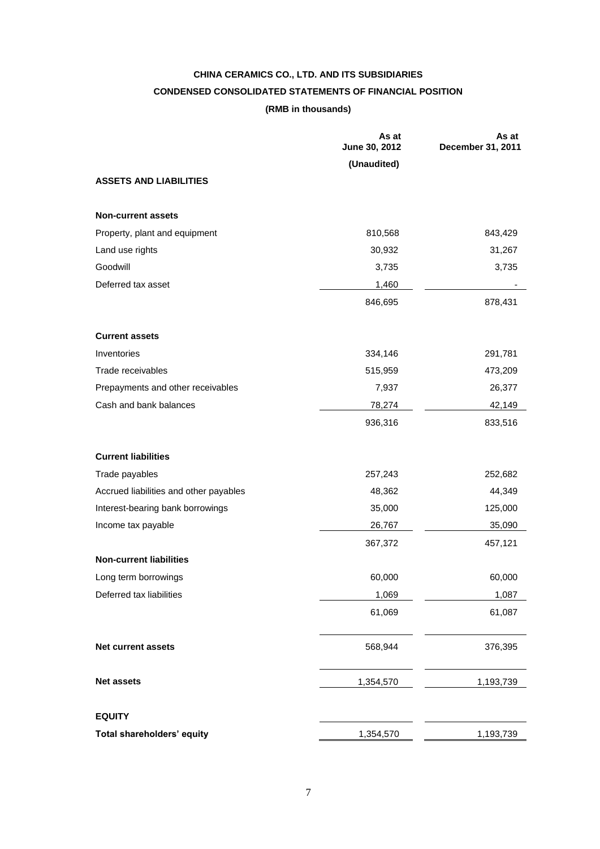## **CHINA CERAMICS CO., LTD. AND ITS SUBSIDIARIES CONDENSED CONSOLIDATED STATEMENTS OF FINANCIAL POSITION (RMB in thousands)**

|                                        | As at<br>June 30, 2012 | As at<br>December 31, 2011 |
|----------------------------------------|------------------------|----------------------------|
|                                        | (Unaudited)            |                            |
| <b>ASSETS AND LIABILITIES</b>          |                        |                            |
| <b>Non-current assets</b>              |                        |                            |
| Property, plant and equipment          | 810,568                | 843,429                    |
| Land use rights                        | 30,932                 | 31,267                     |
| Goodwill                               | 3,735                  | 3,735                      |
| Deferred tax asset                     | 1,460                  |                            |
|                                        | 846,695                | 878,431                    |
| <b>Current assets</b>                  |                        |                            |
| Inventories                            | 334,146                | 291,781                    |
| Trade receivables                      | 515,959                | 473,209                    |
| Prepayments and other receivables      | 7,937                  | 26,377                     |
| Cash and bank balances                 | 78,274                 | 42,149                     |
|                                        | 936,316                | 833,516                    |
| <b>Current liabilities</b>             |                        |                            |
| Trade payables                         | 257,243                | 252,682                    |
| Accrued liabilities and other payables | 48,362                 | 44,349                     |
| Interest-bearing bank borrowings       | 35,000                 | 125,000                    |
| Income tax payable                     | 26,767                 | 35,090                     |
|                                        | 367,372                | 457,121                    |
| <b>Non-current liabilities</b>         |                        |                            |
| Long term borrowings                   | 60,000                 | 60,000                     |
| Deferred tax liabilities               | 1,069                  | 1,087                      |
|                                        | 61,069                 | 61,087                     |
| Net current assets                     | 568,944                | 376,395                    |
| <b>Net assets</b>                      | 1,354,570              | 1,193,739                  |
| <b>EQUITY</b>                          |                        |                            |
| Total shareholders' equity             | 1,354,570              | 1,193,739                  |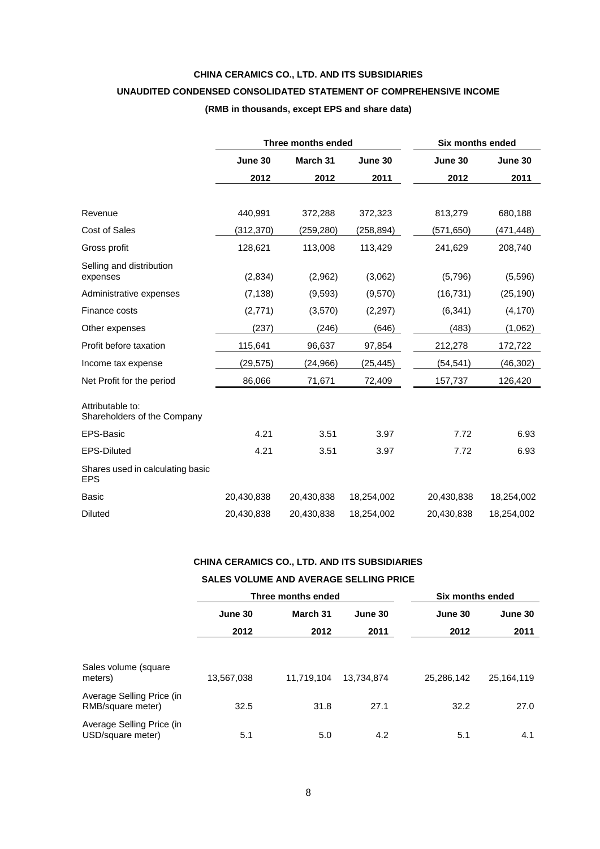## **CHINA CERAMICS CO., LTD. AND ITS SUBSIDIARIES UNAUDITED CONDENSED CONSOLIDATED STATEMENT OF COMPREHENSIVE INCOME (RMB in thousands, except EPS and share data)**

|                                                 |            | Three months ended | Six months ended |            |            |
|-------------------------------------------------|------------|--------------------|------------------|------------|------------|
|                                                 | June 30    | March 31           | June 30          | June 30    | June 30    |
|                                                 | 2012       | 2012               | 2011             | 2012       | 2011       |
|                                                 |            |                    |                  |            |            |
| Revenue                                         | 440,991    | 372,288            | 372,323          | 813,279    | 680,188    |
| <b>Cost of Sales</b>                            | (312,370)  | (259, 280)         | (258,894)        | (571, 650) | (471,448)  |
| Gross profit                                    | 128,621    | 113,008            | 113,429          | 241,629    | 208,740    |
| Selling and distribution<br>expenses            | (2,834)    | (2,962)            | (3,062)          | (5,796)    | (5,596)    |
| Administrative expenses                         | (7, 138)   | (9,593)            | (9,570)          | (16, 731)  | (25, 190)  |
| Finance costs                                   | (2,771)    | (3,570)            | (2,297)          | (6, 341)   | (4, 170)   |
| Other expenses                                  | (237)      | (246)              | (646)            | (483)      | (1,062)    |
| Profit before taxation                          | 115,641    | 96,637             | 97,854           | 212,278    | 172,722    |
| Income tax expense                              | (29, 575)  | (24,966)           | (25, 445)        | (54, 541)  | (46, 302)  |
| Net Profit for the period                       | 86,066     | 71,671             | 72,409           | 157,737    | 126,420    |
| Attributable to:<br>Shareholders of the Company |            |                    |                  |            |            |
| <b>EPS-Basic</b>                                | 4.21       | 3.51               | 3.97             | 7.72       | 6.93       |
| <b>EPS-Diluted</b>                              | 4.21       | 3.51               | 3.97             | 7.72       | 6.93       |
| Shares used in calculating basic<br><b>EPS</b>  |            |                    |                  |            |            |
| Basic                                           | 20,430,838 | 20,430,838         | 18,254,002       | 20,430,838 | 18,254,002 |
| Diluted                                         | 20,430,838 | 20,430,838         | 18,254,002       | 20,430,838 | 18,254,002 |

## **CHINA CERAMICS CO., LTD. AND ITS SUBSIDIARIES**

#### **SALES VOLUME AND AVERAGE SELLING PRICE**

|                                                |            | Three months ended  |            | Six months ended |            |  |
|------------------------------------------------|------------|---------------------|------------|------------------|------------|--|
|                                                | June 30    | March 31<br>June 30 |            | June 30          | June 30    |  |
|                                                | 2012       | 2012                | 2011       | 2012             | 2011       |  |
|                                                |            |                     |            |                  |            |  |
| Sales volume (square<br>meters)                | 13,567,038 | 11.719.104          | 13.734.874 | 25.286.142       | 25,164,119 |  |
| Average Selling Price (in<br>RMB/square meter) | 32.5       | 31.8                | 27.1       | 32.2             | 27.0       |  |
| Average Selling Price (in<br>USD/square meter) | 5.1        | 5.0                 | 4.2        | 5.1              | 4.1        |  |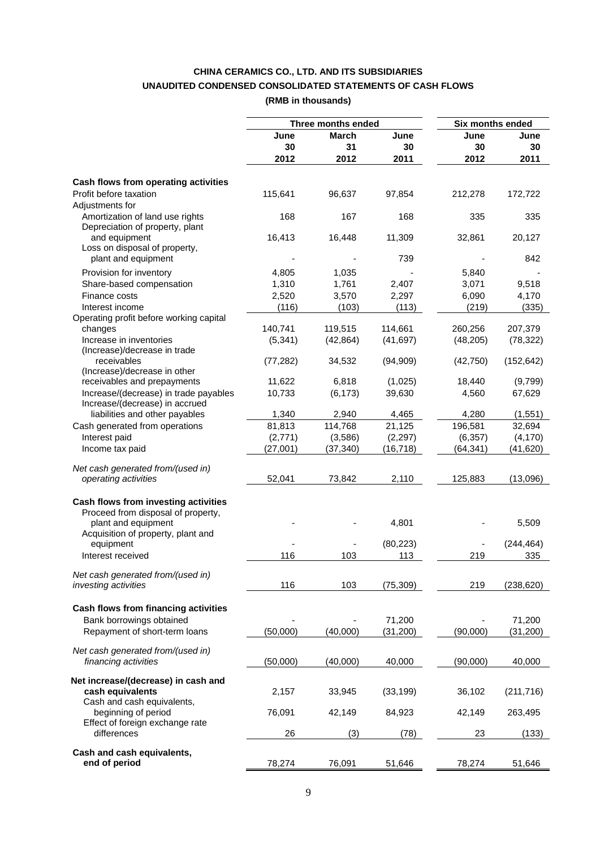## **CHINA CERAMICS CO., LTD. AND ITS SUBSIDIARIES UNAUDITED CONDENSED CONSOLIDATED STATEMENTS OF CASH FLOWS (RMB in thousands)**

|                                         |           | Three months ended |           | <b>Six months ended</b> |            |
|-----------------------------------------|-----------|--------------------|-----------|-------------------------|------------|
|                                         | June      | March              | June      | June                    | June       |
|                                         | 30        | 31                 | 30        | 30                      | 30         |
|                                         | 2012      | 2012               | 2011      | 2012                    | 2011       |
|                                         |           |                    |           |                         |            |
| Cash flows from operating activities    |           |                    |           |                         |            |
| Profit before taxation                  | 115,641   | 96,637             | 97,854    | 212,278                 | 172,722    |
| Adjustments for                         |           |                    |           |                         |            |
| Amortization of land use rights         | 168       | 167                | 168       | 335                     | 335        |
| Depreciation of property, plant         |           |                    |           |                         |            |
| and equipment                           | 16,413    | 16,448             | 11,309    | 32,861                  | 20,127     |
| Loss on disposal of property,           |           |                    |           |                         |            |
| plant and equipment                     |           |                    | 739       |                         | 842        |
| Provision for inventory                 | 4,805     | 1,035              |           | 5,840                   |            |
| Share-based compensation                | 1,310     | 1,761              | 2,407     | 3,071                   | 9,518      |
| Finance costs                           | 2,520     | 3,570              | 2,297     | 6,090                   | 4,170      |
| Interest income                         | (116)     | (103)              | (113)     | (219)                   | (335)      |
| Operating profit before working capital |           |                    |           |                         |            |
| changes                                 | 140,741   | 119,515            | 114,661   | 260,256                 | 207,379    |
| Increase in inventories                 | (5, 341)  | (42, 864)          | (41, 697) | (48, 205)               | (78, 322)  |
| (Increase)/decrease in trade            |           |                    |           |                         |            |
| receivables                             | (77, 282) | 34,532             | (94,909)  | (42, 750)               | (152, 642) |
| (Increase)/decrease in other            |           |                    |           |                         |            |
| receivables and prepayments             | 11,622    | 6,818              | (1,025)   | 18,440                  | (9,799)    |
| Increase/(decrease) in trade payables   | 10,733    | (6, 173)           | 39,630    | 4,560                   | 67,629     |
| Increase/(decrease) in accrued          |           |                    |           |                         |            |
| liabilities and other payables          | 1,340     | 2,940              | 4,465     | 4,280                   | (1,551)    |
| Cash generated from operations          | 81,813    | 114,768            | 21,125    | 196,581                 | 32,694     |
| Interest paid                           | (2,771)   | (3,586)            | (2, 297)  | (6, 357)                | (4, 170)   |
| Income tax paid                         | (27,001)  | (37, 340)          | (16, 718) | (64, 341)               | (41, 620)  |
|                                         |           |                    |           |                         |            |
| Net cash generated from/(used in)       |           |                    |           |                         |            |
| operating activities                    | 52,041    | 73,842             | 2,110     | 125,883                 | (13,096)   |
| Cash flows from investing activities    |           |                    |           |                         |            |
| Proceed from disposal of property,      |           |                    |           |                         |            |
| plant and equipment                     |           |                    | 4,801     |                         | 5,509      |
| Acquisition of property, plant and      |           |                    |           |                         |            |
| equipment                               |           |                    | (80, 223) |                         | (244, 464) |
| Interest received                       | 116       | 103                | 113       | 219                     | 335        |
|                                         |           |                    |           |                         |            |
| Net cash generated from/(used in)       |           |                    |           |                         |            |
| investing activities                    | 116       | 103                | (75, 309) | 219                     | (238, 620) |
|                                         |           |                    |           |                         |            |
| Cash flows from financing activities    |           |                    |           |                         |            |
| Bank borrowings obtained                |           |                    | 71,200    |                         | 71,200     |
| Repayment of short-term loans           | (50,000)  | (40,000)           | (31, 200) | (90,000)                | (31, 200)  |
|                                         |           |                    |           |                         |            |
| Net cash generated from/(used in)       |           |                    |           |                         |            |
| financing activities                    | (50,000)  | (40,000)           | 40,000    | (90,000)                | 40,000     |
| Net increase/(decrease) in cash and     |           |                    |           |                         |            |
| cash equivalents                        | 2,157     | 33,945             | (33, 199) | 36,102                  | (211, 716) |
| Cash and cash equivalents,              |           |                    |           |                         |            |
| beginning of period                     | 76,091    | 42,149             | 84,923    | 42,149                  | 263,495    |
| Effect of foreign exchange rate         |           |                    |           |                         |            |
| differences                             | 26        | (3)                | (78)      | 23                      | (133)      |
|                                         |           |                    |           |                         |            |
| Cash and cash equivalents,              |           |                    |           |                         |            |
| end of period                           | 78,274    | 76,091             | 51,646    | 78,274                  | 51,646     |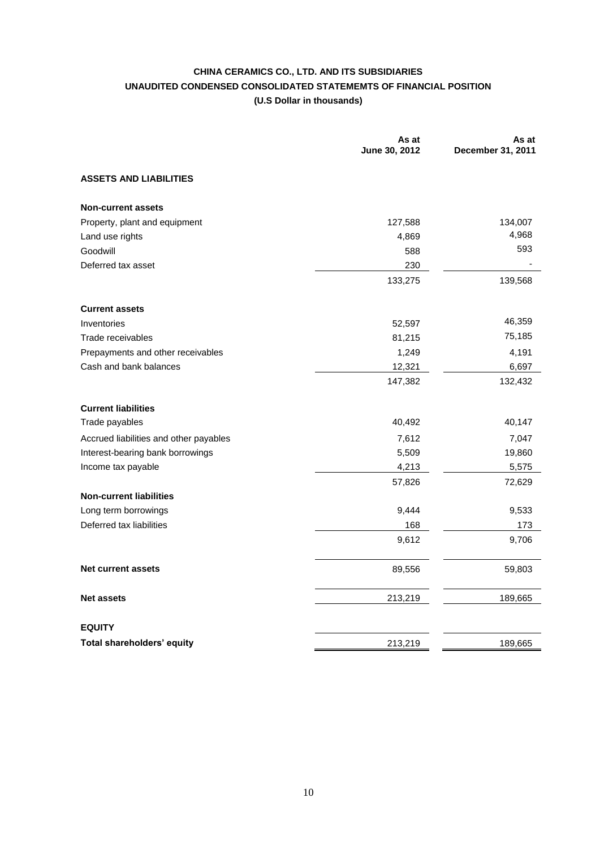## **CHINA CERAMICS CO., LTD. AND ITS SUBSIDIARIES UNAUDITED CONDENSED CONSOLIDATED STATEMEMTS OF FINANCIAL POSITION (U.S Dollar in thousands)**

|                                        | As at<br>June 30, 2012 | As at<br>December 31, 2011 |
|----------------------------------------|------------------------|----------------------------|
| <b>ASSETS AND LIABILITIES</b>          |                        |                            |
| <b>Non-current assets</b>              |                        |                            |
| Property, plant and equipment          | 127,588                | 134,007                    |
| Land use rights                        | 4,869                  | 4,968                      |
| Goodwill                               | 588                    | 593                        |
| Deferred tax asset                     | 230                    |                            |
|                                        | 133,275                | 139,568                    |
| <b>Current assets</b>                  |                        |                            |
| Inventories                            | 52,597                 | 46,359                     |
| Trade receivables                      | 81,215                 | 75,185                     |
| Prepayments and other receivables      | 1,249                  | 4,191                      |
| Cash and bank balances                 | 12,321                 | 6,697                      |
|                                        | 147,382                | 132,432                    |
| <b>Current liabilities</b>             |                        |                            |
| Trade payables                         | 40,492                 | 40,147                     |
| Accrued liabilities and other payables | 7,612                  | 7,047                      |
| Interest-bearing bank borrowings       | 5,509                  | 19,860                     |
| Income tax payable                     | 4,213                  | 5,575                      |
|                                        | 57,826                 | 72,629                     |
| <b>Non-current liabilities</b>         |                        |                            |
| Long term borrowings                   | 9,444                  | 9,533                      |
| Deferred tax liabilities               | 168                    | 173                        |
|                                        | 9,612                  | 9,706                      |
| <b>Net current assets</b>              | 89,556                 | 59,803                     |
| <b>Net assets</b>                      | 213,219                | 189,665                    |
| <b>EQUITY</b>                          |                        |                            |
| Total shareholders' equity             | 213,219                | 189,665                    |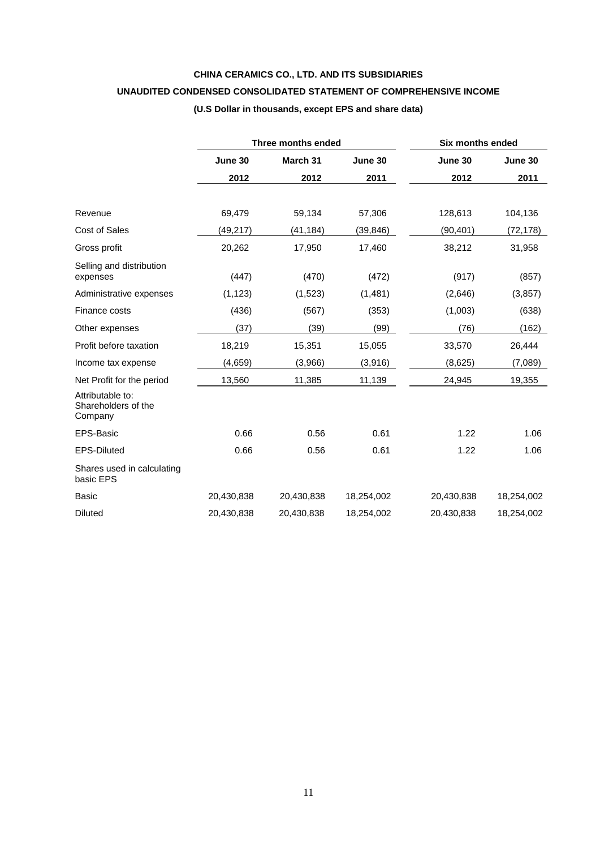## **CHINA CERAMICS CO., LTD. AND ITS SUBSIDIARIES**

## **UNAUDITED CONDENSED CONSOLIDATED STATEMENT OF COMPREHENSIVE INCOME**

## **(U.S Dollar in thousands, except EPS and share data)**

|                                                    |            | <b>Three months ended</b> | <b>Six months ended</b> |            |            |
|----------------------------------------------------|------------|---------------------------|-------------------------|------------|------------|
|                                                    | June 30    | March 31                  | June 30                 | June 30    | June 30    |
|                                                    | 2012       | 2012                      | 2011                    | 2012       | 2011       |
|                                                    |            |                           |                         |            |            |
| Revenue                                            | 69,479     | 59,134                    | 57,306                  | 128,613    | 104,136    |
| Cost of Sales                                      | (49,217)   | (41,184)                  | (39, 846)               | (90, 401)  | (72, 178)  |
| Gross profit                                       | 20,262     | 17,950                    | 17,460                  | 38,212     | 31,958     |
| Selling and distribution<br>expenses               | (447)      | (470)                     | (472)                   | (917)      | (857)      |
| Administrative expenses                            | (1, 123)   | (1,523)                   | (1,481)                 | (2,646)    | (3, 857)   |
| Finance costs                                      | (436)      | (567)                     | (353)                   | (1,003)    | (638)      |
| Other expenses                                     | (37)       | (39)                      | (99)                    | (76)       | (162)      |
| Profit before taxation                             | 18,219     | 15,351                    | 15,055                  | 33,570     | 26,444     |
| Income tax expense                                 | (4,659)    | (3,966)                   | (3,916)                 | (8,625)    | (7,089)    |
| Net Profit for the period                          | 13,560     | 11,385                    | 11,139                  | 24,945     | 19,355     |
| Attributable to:<br>Shareholders of the<br>Company |            |                           |                         |            |            |
| EPS-Basic                                          | 0.66       | 0.56                      | 0.61                    | 1.22       | 1.06       |
| <b>EPS-Diluted</b>                                 | 0.66       | 0.56                      | 0.61                    | 1.22       | 1.06       |
| Shares used in calculating<br>basic EPS            |            |                           |                         |            |            |
| <b>Basic</b>                                       | 20,430,838 | 20,430,838                | 18,254,002              | 20,430,838 | 18,254,002 |
| <b>Diluted</b>                                     | 20,430,838 | 20,430,838                | 18,254,002              | 20,430,838 | 18,254,002 |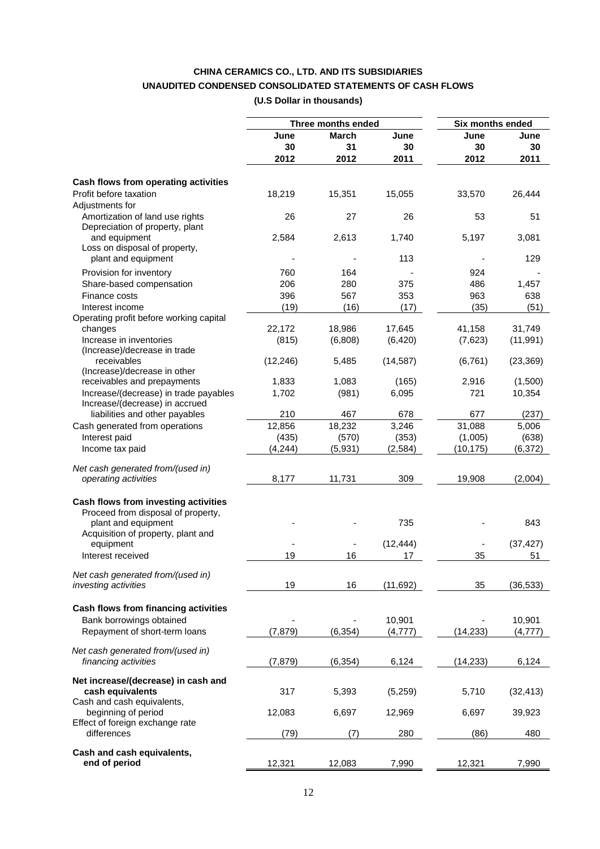## **CHINA CERAMICS CO., LTD. AND ITS SUBSIDIARIES UNAUDITED CONDENSED CONSOLIDATED STATEMENTS OF CASH FLOWS (U.S Dollar in thousands)**

|                                                |           | Three months ended |           | Six months ended |           |
|------------------------------------------------|-----------|--------------------|-----------|------------------|-----------|
|                                                | June      | March              | June      | June             | June      |
|                                                | 30        | 31                 | 30        | 30               | 30        |
|                                                | 2012      | 2012               | 2011      | 2012             | 2011      |
|                                                |           |                    |           |                  |           |
| Cash flows from operating activities           |           |                    |           |                  |           |
| Profit before taxation                         | 18,219    | 15,351             | 15,055    | 33,570           | 26,444    |
| Adjustments for                                |           |                    |           |                  |           |
| Amortization of land use rights                | 26        | 27                 | 26        | 53               | 51        |
| Depreciation of property, plant                |           |                    |           |                  |           |
| and equipment                                  | 2,584     | 2,613              | 1,740     | 5,197            | 3,081     |
| Loss on disposal of property,                  |           |                    |           |                  |           |
| plant and equipment                            |           |                    | 113       |                  | 129       |
| Provision for inventory                        | 760       | 164                |           | 924              |           |
| Share-based compensation                       | 206       | 280                | 375       | 486              | 1,457     |
| Finance costs                                  | 396       | 567                | 353       | 963              | 638       |
| Interest income                                | (19)      | (16)               | (17)      | (35)             | (51)      |
| Operating profit before working capital        |           |                    |           |                  |           |
| changes                                        | 22,172    | 18,986             | 17,645    | 41,158           | 31,749    |
| Increase in inventories                        | (815)     | (6,808)            | (6, 420)  | (7,623)          | (11, 991) |
| (Increase)/decrease in trade                   |           |                    |           |                  |           |
| receivables                                    | (12, 246) | 5,485              | (14, 587) | (6, 761)         | (23, 369) |
| (Increase)/decrease in other                   |           |                    |           |                  |           |
| receivables and prepayments                    | 1,833     | 1,083              | (165)     | 2,916            | (1,500)   |
| Increase/(decrease) in trade payables          | 1,702     | (981)              | 6,095     | 721              | 10,354    |
| Increase/(decrease) in accrued                 |           |                    |           |                  |           |
| liabilities and other payables                 | 210       | 467                | 678       | 677              | (237)     |
| Cash generated from operations                 | 12,856    | 18,232             | 3,246     | 31,088           | 5,006     |
| Interest paid                                  | (435)     | (570)              | (353)     | (1,005)          | (638)     |
| Income tax paid                                | (4, 244)  | (5,931)            | (2,584)   | (10, 175)        | (6, 372)  |
|                                                |           |                    |           |                  |           |
| Net cash generated from/(used in)              |           |                    |           |                  |           |
| operating activities                           | 8,177     | 11,731             | 309       | 19,908           | (2,004)   |
| Cash flows from investing activities           |           |                    |           |                  |           |
| Proceed from disposal of property,             |           |                    |           |                  |           |
| plant and equipment                            |           |                    | 735       |                  | 843       |
| Acquisition of property, plant and             |           |                    |           |                  |           |
| equipment                                      |           |                    | (12, 444) |                  | (37, 427) |
| Interest received                              | 19        | 16                 | 17        | 35               | 51        |
|                                                |           |                    |           |                  |           |
| Net cash generated from/(used in)              |           |                    |           |                  |           |
| investing activities                           | 19        | 16                 | (11, 692) | 35               | (36, 533) |
| Cash flows from financing activities           |           |                    |           |                  |           |
| Bank borrowings obtained                       |           |                    | 10,901    |                  | 10,901    |
| Repayment of short-term loans                  | (7, 879)  | (6, 354)           | (4, 777)  | (14, 233)        | (4, 777)  |
|                                                |           |                    |           |                  |           |
| Net cash generated from/(used in)              |           |                    |           |                  |           |
| financing activities                           | (7, 879)  | (6, 354)           | 6,124     | (14, 233)        | 6,124     |
|                                                |           |                    |           |                  |           |
| Net increase/(decrease) in cash and            |           |                    |           |                  |           |
| cash equivalents                               | 317       | 5,393              | (5,259)   | 5,710            | (32, 413) |
| Cash and cash equivalents,                     |           |                    |           |                  |           |
| beginning of period                            | 12,083    | 6,697              | 12,969    | 6,697            | 39,923    |
| Effect of foreign exchange rate<br>differences | (79)      | (7)                | 280       | (86)             | 480       |
|                                                |           |                    |           |                  |           |
| Cash and cash equivalents,                     |           |                    |           |                  |           |
| end of period                                  | 12,321    | 12,083             | 7,990     | 12,321           | 7,990     |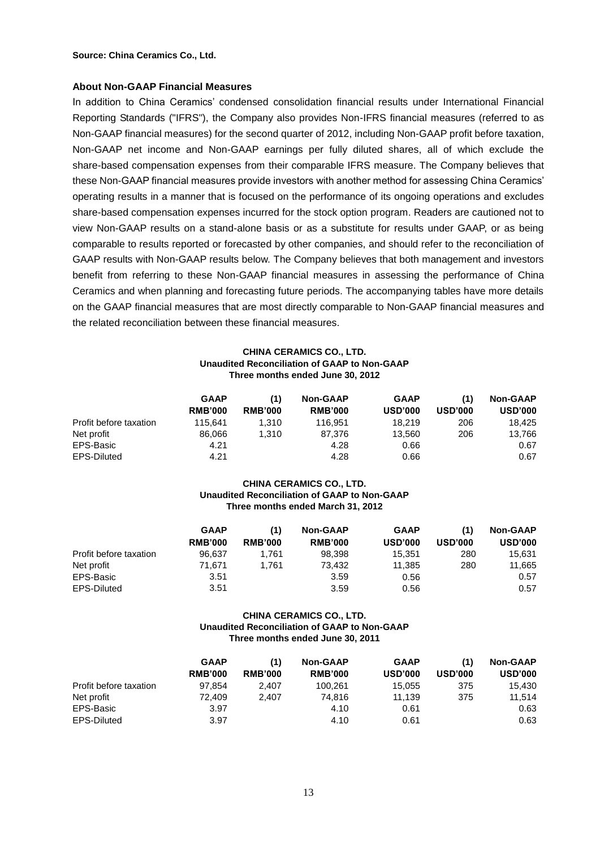**Source: China Ceramics Co., Ltd.**

#### **About Non-GAAP Financial Measures**

In addition to China Ceramics' condensed consolidation financial results under International Financial Reporting Standards ("IFRS"), the Company also provides Non-IFRS financial measures (referred to as Non-GAAP financial measures) for the second quarter of 2012, including Non-GAAP profit before taxation, Non-GAAP net income and Non-GAAP earnings per fully diluted shares, all of which exclude the share-based compensation expenses from their comparable IFRS measure. The Company believes that these Non-GAAP financial measures provide investors with another method for assessing China Ceramics' operating results in a manner that is focused on the performance of its ongoing operations and excludes share-based compensation expenses incurred for the stock option program. Readers are cautioned not to view Non-GAAP results on a stand-alone basis or as a substitute for results under GAAP, or as being comparable to results reported or forecasted by other companies, and should refer to the reconciliation of GAAP results with Non-GAAP results below. The Company believes that both management and investors benefit from referring to these Non-GAAP financial measures in assessing the performance of China Ceramics and when planning and forecasting future periods. The accompanying tables have more details on the GAAP financial measures that are most directly comparable to Non-GAAP financial measures and the related reconciliation between these financial measures.

#### **CHINA CERAMICS CO., LTD. Unaudited Reconciliation of GAAP to Non-GAAP Three months ended June 30, 2012**

|                        | <b>GAAP</b><br><b>RMB'000</b> | (1)<br><b>RMB'000</b> | <b>Non-GAAP</b><br><b>RMB'000</b> | <b>GAAP</b><br><b>USD'000</b> | (1)<br><b>USD'000</b> | <b>Non-GAAP</b><br><b>USD'000</b> |
|------------------------|-------------------------------|-----------------------|-----------------------------------|-------------------------------|-----------------------|-----------------------------------|
| Profit before taxation | 115.641                       | 1.310                 | 116.951                           | 18.219                        | 206                   | 18.425                            |
| Net profit             | 86.066                        | 1,310                 | 87.376                            | 13.560                        | 206                   | 13,766                            |
| EPS-Basic              | 4.21                          |                       | 4.28                              | 0.66                          |                       | 0.67                              |
| EPS-Diluted            | 4.21                          |                       | 4.28                              | 0.66                          |                       | 0.67                              |

#### **CHINA CERAMICS CO., LTD. Unaudited Reconciliation of GAAP to Non-GAAP Three months ended March 31, 2012**

|                        | <b>GAAP</b><br><b>RMB'000</b> | (1)<br><b>RMB'000</b> | <b>Non-GAAP</b><br><b>RMB'000</b> | <b>GAAP</b><br><b>USD'000</b> | (1)<br><b>USD'000</b> | <b>Non-GAAP</b><br><b>USD'000</b> |
|------------------------|-------------------------------|-----------------------|-----------------------------------|-------------------------------|-----------------------|-----------------------------------|
| Profit before taxation | 96.637                        | 1.761                 | 98.398                            | 15.351                        | 280                   | 15.631                            |
| Net profit             | 71.671                        | 1.761                 | 73.432                            | 11.385                        | 280                   | 11,665                            |
| EPS-Basic              | 3.51                          |                       | 3.59                              | 0.56                          |                       | 0.57                              |
| EPS-Diluted            | 3.51                          |                       | 3.59                              | 0.56                          |                       | 0.57                              |

#### **CHINA CERAMICS CO., LTD. Unaudited Reconciliation of GAAP to Non-GAAP Three months ended June 30, 2011**

|                        | <b>GAAP</b><br><b>RMB'000</b> | (1)<br><b>RMB'000</b> | <b>Non-GAAP</b><br><b>RMB'000</b> | <b>GAAP</b><br><b>USD'000</b> | (1)<br><b>USD'000</b> | <b>Non-GAAP</b><br><b>USD'000</b> |
|------------------------|-------------------------------|-----------------------|-----------------------------------|-------------------------------|-----------------------|-----------------------------------|
| Profit before taxation | 97.854                        | 2.407                 | 100.261                           | 15,055                        | 375                   | 15,430                            |
| Net profit             | 72.409                        | 2.407                 | 74.816                            | 11.139                        | 375                   | 11.514                            |
| EPS-Basic              | 3.97                          |                       | 4.10                              | 0.61                          |                       | 0.63                              |
| EPS-Diluted            | 3.97                          |                       | 4.10                              | 0.61                          |                       | 0.63                              |